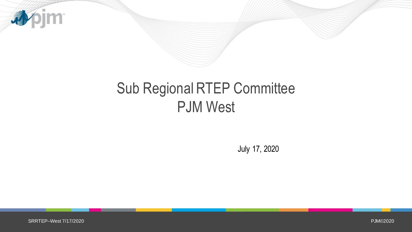

## Sub Regional RTEP Committee PJM West

July 17, 2020

PJM©2020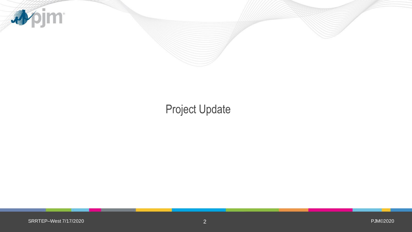

## Project Update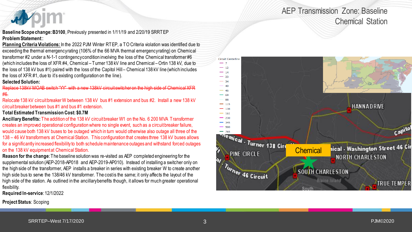### AEP Transmission Zone: Baseline Chemical Station



**Baseline Scope change: B3100**, Previously presented in 1/11/19 and 2/20/19 SRRTEP **Problem Statement**::

**Planning Criteria Violations:** In the 2022 PJM Winter RTEP, a TO Criteria violation was identified due to exceeding the thermal emergency rating (106% of the 66 MVA thermal emergency rating) on Chemical transformer #2 under a N-1-1 contingency condition involving the loss of the Chemical transformer #6 (which includes the loss of XFR #4, Chemical – Turner 138 kV line and Chemical –Ortin 138 kV, due to the loss of 138 kV bus #1) paired with the loss of the Capitol Hill – Chemical 138 kV line (which includes the loss of XFR #1, due to it's existing configuration on the line).

#### **Selected Solution:**

Replace 138kV MOAB switch "YY" with a new 138kV circuit switcher on the high side of Chemical XFR #6.

Relocate 138 kV circuit breaker W between 138 kV bus #1 extension and bus #2. Install a new 138 kV circuit breaker between bus #1 and bus #1 extension.

#### **Total Estimated Transmission Cost: \$0.7M**

**Ancillary Benefits:** The addition of the 138 kV circuit breaker W1 on the No. 6 200 MVA Transformer creates an improved operational configuration where no single event, such as a circuit breaker failure, would cause both 138 kV buses to be outaged which in turn would otherwise also outage all three of the 138 – 46 kV transformers at Chemical Station. This configuration that creates three 138 kV buses allows for a significantly increased flexibility to both schedule maintenance outages and withstand forced outages on the 138 kV equipment at Chemical Station.

**Reason for the change**: The baseline solution was re-visited as AEP completed engineering for the supplemental solution (AEP-2018-AP018 and AEP-2019-AP010). Instead of installing a switcher only on the high side of the transformer, AEP installs a breaker in series with existing breaker W to create another high side bus to serve the 138/46 kV transformer. The cost is the same; it only affects the layout of the high side of the station. As outlined in the ancillary benefits though, it allows for much greater operational flexibility.

**Required In-service**: 12/1/2022

**Project Status**: Scoping

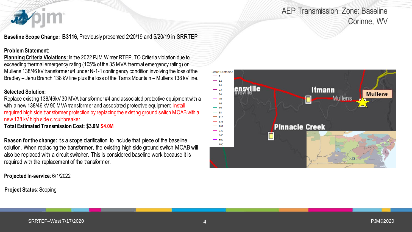## AEP Transmission Zone: Baseline Corinne, WV

**Baseline Scope Change: B3116**, Previously presented 2/20/19 and 5/20/19 in SRRTEP

#### **Problem Statement**:

**Planning Criteria Violations:** In the 2022 PJM Winter RTEP, TO Criteria violation due to exceeding thermal emergency rating (105% of the 35 MVA thermal emergency rating) on Mullens 138/46 kV transformer #4 under N-1-1 contingency condition involving the loss of the Bradley – Jehu Branch 138 kV line plus the loss of the Tams Mountain – Mullens 138 kV line.

#### **Selected Solution:**

Replace existing 138/46kV 30 MVA transformer #4 and associated protective equipment with a with a new 138/46 kV 90 MVA transformer and associated protective equipment. Install required high side transformer protection by replacing the existing ground switch MOAB with a new 138 kV high side circuit breaker.

**Total Estimated Transmission Cost: \$3.0M \$4.0M**

**Reason for the change:** It's a scope clarification to include that piece of the baseline solution. When replacing the transformer, the existing high side ground switch MOAB will also be replaced with a circuit switcher. This is considered baseline work because it is required with the replacement of the transformer.

**Projected In-service**: 6/1/2022

**Project Status**: Scoping

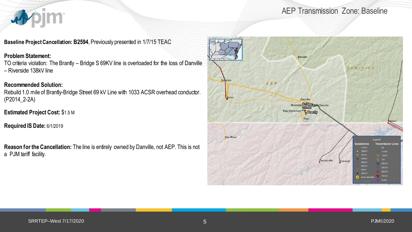## **pjm** 看

AEP Transmission Zone: Baseline

**Baseline Project Cancellation: B2594**, Previously presented in 1/7/15 TEAC

#### **Problem Statement:**

TO criteria violation: The Brantly – Bridge S 69KV line is overloaded for the loss of Danville – Riverside 138kV line

### **Recommended Solution:**

Rebuild 1.0 mile of Brantly-Bridge Street 69 kV Line with 1033 ACSR overhead conductor. (P2014\_2-2A)

**Estimated Project Cost:** \$1.5 M

**Required IS Date:** 6/1/2019

**Reason for the Cancellation:** The line is entirely owned by Danville, not AEP. This is not a PJM tariff facility.

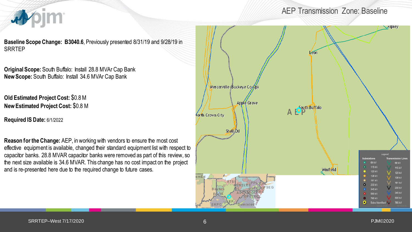

AEP Transmission Zone: Baseline

**Baseline Scope Change: B3040.6**, Previously presented 8/31/19 and 9/28/19 in **SRRTEP** 

**Original Scope:** South Buffalo: Install 28.8 MVAr Cap Bank **New Scope:** South Buffalo: Install 34.6 MVAr Cap Bank

**Old Estimated Project Cost:** \$0.8 M **New Estimated Project Cost:** \$0.8 M

**Required IS Date:** 6/1/2022

**Reason for the Change:** AEP, in working with vendors to ensure the most cost effective equipment is available, changed their standard equipment list with respect to capacitor banks. 28.8 MVAR capacitor banks were removed as part of this review, so the next size available is 34.6 MVAR. This change has no cost impact on the project and is re-presented here due to the required change to future cases.

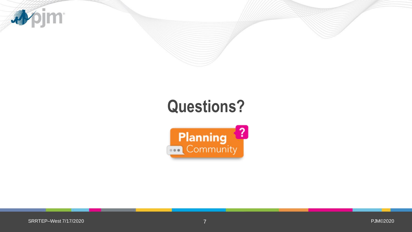

# **Questions?**